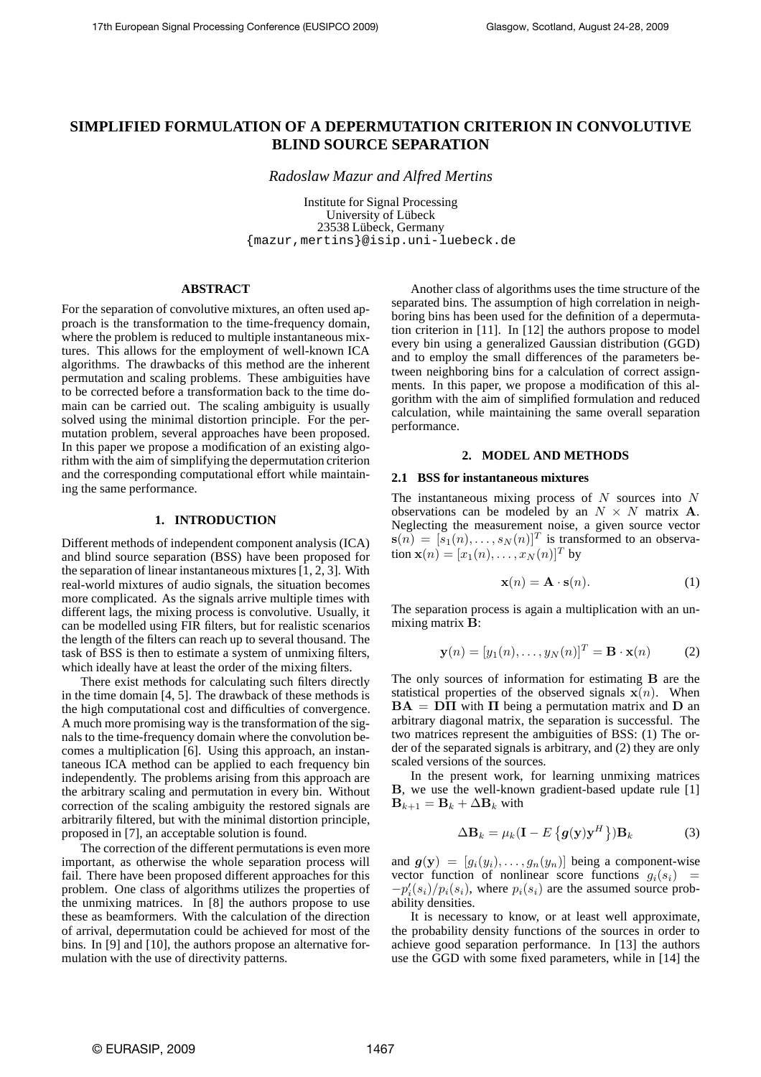# **SIMPLIFIED FORMULATION OF A DEPERMUTATION CRITERION IN CONVOLUTIVE BLIND SOURCE SEPARATION**

*Radoslaw Mazur and Alfred Mertins*

Institute for Signal Processing University of Lübeck 23538 Lübeck, Germany {mazur,mertins}@isip.uni-luebeck.de

### **ABSTRACT**

For the separation of convolutive mixtures, an often used approach is the transformation to the time-frequency domain, where the problem is reduced to multiple instantaneous mixtures. This allows for the employment of well-known ICA algorithms. The drawbacks of this method are the inherent permutation and scaling problems. These ambiguities have to be corrected before a transformation back to the time domain can be carried out. The scaling ambiguity is usually solved using the minimal distortion principle. For the permutation problem, several approaches have been proposed. In this paper we propose a modification of an existing algorithm with the aim of simplifying the depermutation criterion and the corresponding computational effort while maintaining the same performance.

## **1. INTRODUCTION**

Different methods of independent component analysis (ICA) and blind source separation (BSS) have been proposed for the separation of linear instantaneous mixtures [1, 2, 3]. With real-world mixtures of audio signals, the situation becomes more complicated. As the signals arrive multiple times with different lags, the mixing process is convolutive. Usually, it can be modelled using FIR filters, but for realistic scenarios the length of the filters can reach up to several thousand. The task of BSS is then to estimate a system of unmixing filters, which ideally have at least the order of the mixing filters.

There exist methods for calculating such filters directly in the time domain [4, 5]. The drawback of these methods is the high computational cost and difficulties of convergence. A much more promising way is the transformation of the signals to the time-frequency domain where the convolution becomes a multiplication [6]. Using this approach, an instantaneous ICA method can be applied to each frequency bin independently. The problems arising from this approach are the arbitrary scaling and permutation in every bin. Without correction of the scaling ambiguity the restored signals are arbitrarily filtered, but with the minimal distortion principle, proposed in [7], an acceptable solution is found.

The correction of the different permutations is even more important, as otherwise the whole separation process will fail. There have been proposed different approaches for this problem. One class of algorithms utilizes the properties of the unmixing matrices. In [8] the authors propose to use these as beamformers. With the calculation of the direction of arrival, depermutation could be achieved for most of the bins. In [9] and [10], the authors propose an alternative formulation with the use of directivity patterns.

Another class of algorithms uses the time structure of the separated bins. The assumption of high correlation in neighboring bins has been used for the definition of a depermutation criterion in [11]. In [12] the authors propose to model every bin using a generalized Gaussian distribution (GGD) and to employ the small differences of the parameters between neighboring bins for a calculation of correct assignments. In this paper, we propose a modification of this algorithm with the aim of simplified formulation and reduced calculation, while maintaining the same overall separation performance.

# **2. MODEL AND METHODS**

### **2.1 BSS for instantaneous mixtures**

The instantaneous mixing process of  $N$  sources into  $N$ observations can be modeled by an  $N \times N$  matrix **A**. Neglecting the measurement noise, a given source vector  $\mathbf{s}(n) = [s_1(n), \dots, s_N(n)]^T$  is transformed to an observation  $\mathbf{x}(n) = [x_1(n), \dots, x_N(n)]^T$  by

$$
\mathbf{x}(n) = \mathbf{A} \cdot \mathbf{s}(n). \tag{1}
$$

The separation process is again a multiplication with an unmixing matrix B:

$$
\mathbf{y}(n) = [y_1(n), \dots, y_N(n)]^T = \mathbf{B} \cdot \mathbf{x}(n) \tag{2}
$$

The only sources of information for estimating B are the statistical properties of the observed signals  $x(n)$ . When  $BA = D\Pi$  with  $\Pi$  being a permutation matrix and  $D$  and arbitrary diagonal matrix, the separation is successful. The two matrices represent the ambiguities of BSS: (1) The order of the separated signals is arbitrary, and (2) they are only scaled versions of the sources.

In the present work, for learning unmixing matrices B, we use the well-known gradient-based update rule [1]  $$ 

$$
\Delta \mathbf{B}_k = \mu_k (\mathbf{I} - E\left\{ \boldsymbol{g}(\mathbf{y}) \mathbf{y}^H \right\}) \mathbf{B}_k \tag{3}
$$

and  $g(y) = [g_i(y_i), \ldots, g_n(y_n)]$  being a component-wise vector function of nonlinear score functions  $q_i(s_i)$  =  $-p'_{i}(s_i)/p_{i}(s_i)$ , where  $p_{i}(s_i)$  are the assumed source probability densities.

It is necessary to know, or at least well approximate, the probability density functions of the sources in order to achieve good separation performance. In [13] the authors use the GGD with some fixed parameters, while in [14] the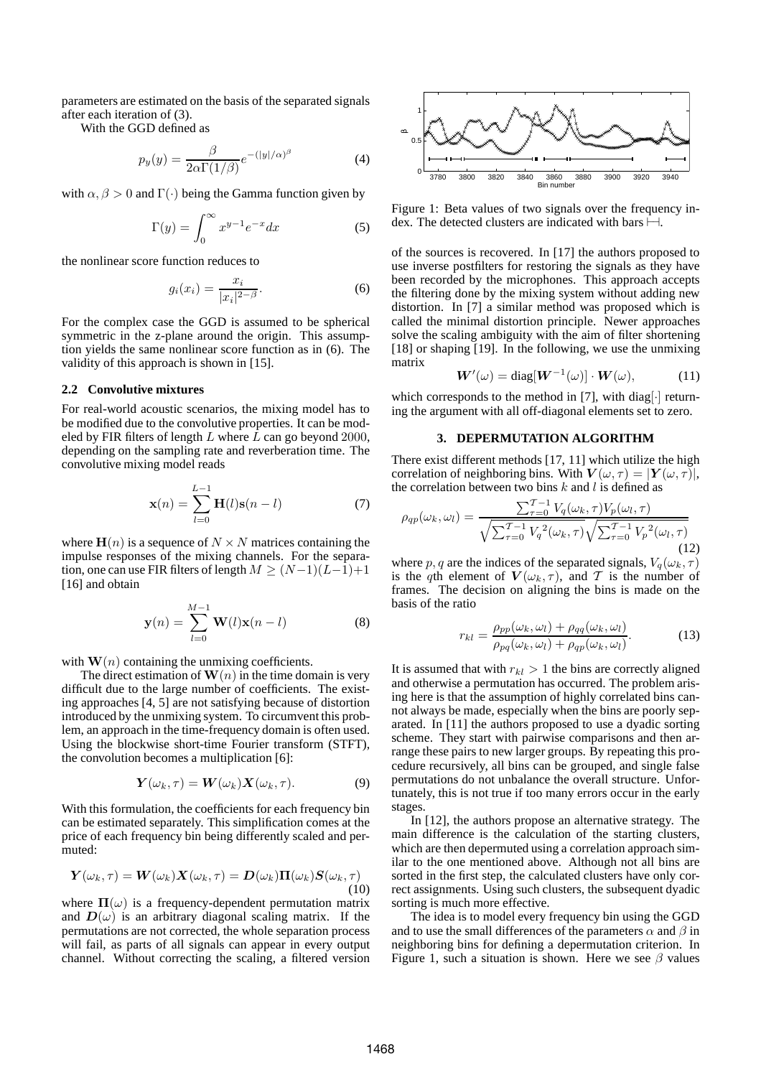parameters are estimated on the basis of the separated signals after each iteration of (3).

With the GGD defined as

$$
p_y(y) = \frac{\beta}{2\alpha \Gamma(1/\beta)} e^{-(|y|/\alpha)^{\beta}}
$$
 (4)

with  $\alpha$ ,  $\beta > 0$  and  $\Gamma(\cdot)$  being the Gamma function given by

$$
\Gamma(y) = \int_0^\infty x^{y-1} e^{-x} dx \tag{5}
$$

the nonlinear score function reduces to

$$
g_i(x_i) = \frac{x_i}{|x_i|^{2-\beta}}.\tag{6}
$$

For the complex case the GGD is assumed to be spherical symmetric in the z-plane around the origin. This assumption yields the same nonlinear score function as in (6). The validity of this approach is shown in [15].

#### **2.2 Convolutive mixtures**

For real-world acoustic scenarios, the mixing model has to be modified due to the convolutive properties. It can be modeled by FIR filters of length  $L$  where  $L$  can go beyond 2000, depending on the sampling rate and reverberation time. The convolutive mixing model reads

$$
\mathbf{x}(n) = \sum_{l=0}^{L-1} \mathbf{H}(l)\mathbf{s}(n-l)
$$
 (7)

where  $H(n)$  is a sequence of  $N \times N$  matrices containing the impulse responses of the mixing channels. For the separation, one can use FIR filters of length  $M \geq (N-1)(L-1)+1$ [16] and obtain

$$
\mathbf{y}(n) = \sum_{l=0}^{M-1} \mathbf{W}(l)\mathbf{x}(n-l)
$$
 (8)

with  $\mathbf{W}(n)$  containing the unmixing coefficients.

The direct estimation of  $\mathbf{W}(n)$  in the time domain is very difficult due to the large number of coefficients. The existing approaches [4, 5] are not satisfying because of distortion introduced by the unmixing system. To circumvent this problem, an approach in the time-frequency domain is often used. Using the blockwise short-time Fourier transform (STFT), the convolution becomes a multiplication [6]:

$$
\mathbf{Y}(\omega_k, \tau) = \mathbf{W}(\omega_k) \mathbf{X}(\omega_k, \tau). \tag{9}
$$

With this formulation, the coefficients for each frequency bin can be estimated separately. This simplification comes at the price of each frequency bin being differently scaled and permuted:

$$
\boldsymbol{Y}(\omega_k,\tau) = \boldsymbol{W}(\omega_k)\boldsymbol{X}(\omega_k,\tau) = \boldsymbol{D}(\omega_k)\boldsymbol{\Pi}(\omega_k)\boldsymbol{S}(\omega_k,\tau) \tag{10}
$$

where  $\Pi(\omega)$  is a frequency-dependent permutation matrix and  $D(\omega)$  is an arbitrary diagonal scaling matrix. If the permutations are not corrected, the whole separation process will fail, as parts of all signals can appear in every output channel. Without correcting the scaling, a filtered version



Figure 1: Beta values of two signals over the frequency index. The detected clusters are indicated with bars ⊢⊣.

of the sources is recovered. In [17] the authors proposed to use inverse postfilters for restoring the signals as they have been recorded by the microphones. This approach accepts the filtering done by the mixing system without adding new distortion. In [7] a similar method was proposed which is called the minimal distortion principle. Newer approaches solve the scaling ambiguity with the aim of filter shortening [18] or shaping [19]. In the following, we use the unmixing matrix

$$
\mathbf{W}'(\omega) = \text{diag}[\mathbf{W}^{-1}(\omega)] \cdot \mathbf{W}(\omega), \quad (11)
$$

which corresponds to the method in [7], with diag.  $\cdot$  returning the argument with all off-diagonal elements set to zero.

#### **3. DEPERMUTATION ALGORITHM**

There exist different methods [17, 11] which utilize the high correlation of neighboring bins. With  $V(\omega, \tau) = |Y(\omega, \tau)|$ , the correlation between two bins  $k$  and  $l$  is defined as

$$
\rho_{qp}(\omega_k, \omega_l) = \frac{\sum_{\tau=0}^{T-1} V_q(\omega_k, \tau) V_p(\omega_l, \tau)}{\sqrt{\sum_{\tau=0}^{T-1} V_q^2(\omega_k, \tau)} \sqrt{\sum_{\tau=0}^{T-1} V_p^2(\omega_l, \tau)}}
$$
(12)

where p, q are the indices of the separated signals,  $V_q(\omega_k, \tau)$ is the qth element of  $V(\omega_k, \tau)$ , and T is the number of frames. The decision on aligning the bins is made on the basis of the ratio

$$
r_{kl} = \frac{\rho_{pp}(\omega_k, \omega_l) + \rho_{qq}(\omega_k, \omega_l)}{\rho_{pq}(\omega_k, \omega_l) + \rho_{qp}(\omega_k, \omega_l)}.
$$
(13)

It is assumed that with  $r_{kl} > 1$  the bins are correctly aligned and otherwise a permutation has occurred. The problem arising here is that the assumption of highly correlated bins cannot always be made, especially when the bins are poorly separated. In [11] the authors proposed to use a dyadic sorting scheme. They start with pairwise comparisons and then arrange these pairs to new larger groups. By repeating this procedure recursively, all bins can be grouped, and single false permutations do not unbalance the overall structure. Unfortunately, this is not true if too many errors occur in the early stages.

In [12], the authors propose an alternative strategy. The main difference is the calculation of the starting clusters, which are then depermuted using a correlation approach similar to the one mentioned above. Although not all bins are sorted in the first step, the calculated clusters have only correct assignments. Using such clusters, the subsequent dyadic sorting is much more effective.

The idea is to model every frequency bin using the GGD and to use the small differences of the parameters  $\alpha$  and  $\beta$  in neighboring bins for defining a depermutation criterion. In Figure 1, such a situation is shown. Here we see  $\beta$  values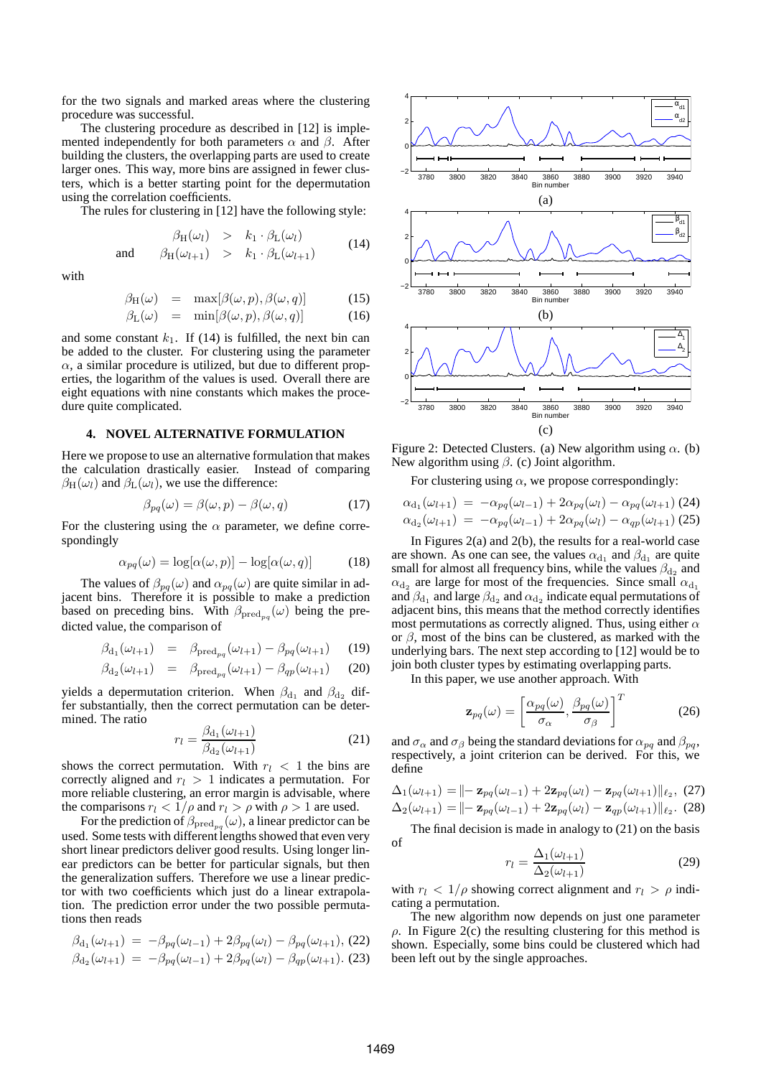for the two signals and marked areas where the clustering procedure was successful.

The clustering procedure as described in [12] is implemented independently for both parameters  $\alpha$  and  $\beta$ . After building the clusters, the overlapping parts are used to create larger ones. This way, more bins are assigned in fewer clusters, which is a better starting point for the depermutation using the correlation coefficients.

The rules for clustering in [12] have the following style:

$$
\beta_H(\omega_l) > k_1 \cdot \beta_L(\omega_l)
$$
  
and 
$$
\beta_H(\omega_{l+1}) > k_1 \cdot \beta_L(\omega_{l+1})
$$
 (14)

with

$$
\beta_{\mathrm{H}}(\omega) = \max[\beta(\omega, p), \beta(\omega, q)] \quad (15)
$$

$$
\beta_{\mathcal{L}}(\omega) = \min[\beta(\omega, p), \beta(\omega, q)] \tag{16}
$$

and some constant  $k_1$ . If (14) is fulfilled, the next bin can be added to the cluster. For clustering using the parameter  $\alpha$ , a similar procedure is utilized, but due to different properties, the logarithm of the values is used. Overall there are eight equations with nine constants which makes the procedure quite complicated.

### **4. NOVEL ALTERNATIVE FORMULATION**

Here we propose to use an alternative formulation that makes the calculation drastically easier. Instead of comparing  $\beta_H(\omega_l)$  and  $\beta_L(\omega_l)$ , we use the difference:

$$
\beta_{pq}(\omega) = \beta(\omega, p) - \beta(\omega, q) \tag{17}
$$

For the clustering using the  $\alpha$  parameter, we define correspondingly

$$
\alpha_{pq}(\omega) = \log[\alpha(\omega, p)] - \log[\alpha(\omega, q)] \tag{18}
$$

The values of  $\beta_{pq}(\omega)$  and  $\alpha_{pq}(\omega)$  are quite similar in adjacent bins. Therefore it is possible to make a prediction based on preceding bins. With  $\beta_{\text{pred}_{pq}}(\omega)$  being the predicted value, the comparison of

$$
\beta_{d_1}(\omega_{l+1}) = \beta_{\text{pred}_{pq}}(\omega_{l+1}) - \beta_{pq}(\omega_{l+1}) \qquad (19)
$$

$$
\beta_{d_2}(\omega_{l+1}) = \beta_{\text{pred}_{pq}}(\omega_{l+1}) - \beta_{qp}(\omega_{l+1}) \qquad (20)
$$

yields a depermutation criterion. When  $\beta_{d_1}$  and  $\beta_{d_2}$  differ substantially, then the correct permutation can be determined. The ratio

$$
r_l = \frac{\beta_{d_1}(\omega_{l+1})}{\beta_{d_2}(\omega_{l+1})}
$$
\n(21)

shows the correct permutation. With  $r_l < 1$  the bins are correctly aligned and  $r_l > 1$  indicates a permutation. For more reliable clustering, an error margin is advisable, where the comparisons  $r_l < 1/\rho$  and  $r_l > \rho$  with  $\rho > 1$  are used.

For the prediction of  $\beta_{\text{pred}_{pq}}(\omega)$ , a linear predictor can be used. Some tests with different lengths showed that even very short linear predictors deliver good results. Using longer linear predictors can be better for particular signals, but then the generalization suffers. Therefore we use a linear predictor with two coefficients which just do a linear extrapolation. The prediction error under the two possible permutations then reads

$$
\beta_{d_1}(\omega_{l+1}) = -\beta_{pq}(\omega_{l-1}) + 2\beta_{pq}(\omega_l) - \beta_{pq}(\omega_{l+1}),
$$
 (22)

$$
\beta_{d_2}(\omega_{l+1}) = -\beta_{pq}(\omega_{l-1}) + 2\beta_{pq}(\omega_l) - \beta_{qp}(\omega_{l+1}).
$$
 (23)



Figure 2: Detected Clusters. (a) New algorithm using  $\alpha$ . (b) New algorithm using  $\beta$ . (c) Joint algorithm.

For clustering using  $\alpha$ , we propose correspondingly:

$$
\alpha_{d_1}(\omega_{l+1}) = -\alpha_{pq}(\omega_{l-1}) + 2\alpha_{pq}(\omega_l) - \alpha_{pq}(\omega_{l+1})
$$
 (24)  

$$
\alpha_{d_2}(\omega_{l+1}) = -\alpha_{pq}(\omega_{l-1}) + 2\alpha_{pq}(\omega_l) - \alpha_{qp}(\omega_{l+1})
$$
 (25)

In Figures 2(a) and 2(b), the results for a real-world case are shown. As one can see, the values  $\alpha_{d_1}$  and  $\beta_{d_1}$  are quite small for almost all frequency bins, while the values  $\beta_{d_2}$  and  $\alpha_{d_2}$  are large for most of the frequencies. Since small  $\alpha_{d_1}$ and  $\beta_{\rm d_1}$  and large  $\beta_{\rm d_2}$  and  $\alpha_{\rm d_2}$  indicate equal permutations of adjacent bins, this means that the method correctly identifies most permutations as correctly aligned. Thus, using either  $\alpha$ or  $\beta$ , most of the bins can be clustered, as marked with the underlying bars. The next step according to [12] would be to join both cluster types by estimating overlapping parts.

In this paper, we use another approach. With

$$
\mathbf{z}_{pq}(\omega) = \left[\frac{\alpha_{pq}(\omega)}{\sigma_{\alpha}}, \frac{\beta_{pq}(\omega)}{\sigma_{\beta}}\right]^T
$$
 (26)

and  $\sigma_{\alpha}$  and  $\sigma_{\beta}$  being the standard deviations for  $\alpha_{pq}$  and  $\beta_{pq}$ , respectively, a joint criterion can be derived. For this, we define

$$
\Delta_1(\omega_{l+1}) = || - \mathbf{z}_{pq}(\omega_{l-1}) + 2\mathbf{z}_{pq}(\omega_l) - \mathbf{z}_{pq}(\omega_{l+1}) ||_{\ell_2}, (27) \n\Delta_2(\omega_{l+1}) = || - \mathbf{z}_{pq}(\omega_{l-1}) + 2\mathbf{z}_{pq}(\omega_l) - \mathbf{z}_{qp}(\omega_{l+1}) ||_{\ell_2}. (28)
$$

The final decision is made in analogy to (21) on the basis of

$$
r_l = \frac{\Delta_1(\omega_{l+1})}{\Delta_2(\omega_{l+1})} \tag{29}
$$

with  $r_l < 1/\rho$  showing correct alignment and  $r_l > \rho$  indicating a permutation.

The new algorithm now depends on just one parameter  $\rho$ . In Figure 2(c) the resulting clustering for this method is shown. Especially, some bins could be clustered which had been left out by the single approaches.